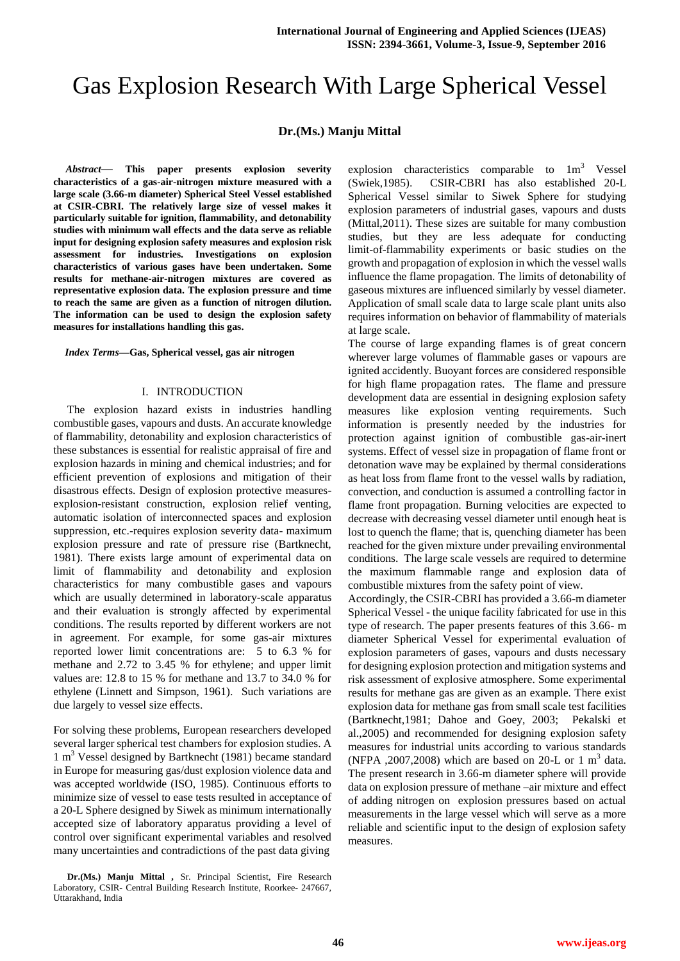# Gas Explosion Research With Large Spherical Vessel

# **Dr.(Ms.) Manju Mittal**

*Abstract*— **This paper presents explosion severity characteristics of a gas-air-nitrogen mixture measured with a large scale (3.66-m diameter) Spherical Steel Vessel established at CSIR-CBRI. The relatively large size of vessel makes it particularly suitable for ignition, flammability, and detonability studies with minimum wall effects and the data serve as reliable input for designing explosion safety measures and explosion risk assessment for industries. Investigations on explosion characteristics of various gases have been undertaken. Some results for methane-air-nitrogen mixtures are covered as representative explosion data. The explosion pressure and time to reach the same are given as a function of nitrogen dilution. The information can be used to design the explosion safety measures for installations handling this gas.**

*Index Terms***—Gas, Spherical vessel, gas air nitrogen**

#### I. INTRODUCTION

 The explosion hazard exists in industries handling combustible gases, vapours and dusts. An accurate knowledge of flammability, detonability and explosion characteristics of these substances is essential for realistic appraisal of fire and explosion hazards in mining and chemical industries; and for efficient prevention of explosions and mitigation of their disastrous effects. Design of explosion protective measuresexplosion-resistant construction, explosion relief venting, automatic isolation of interconnected spaces and explosion suppression, etc.-requires explosion severity data- maximum explosion pressure and rate of pressure rise (Bartknecht, 1981). There exists large amount of experimental data on limit of flammability and detonability and explosion characteristics for many combustible gases and vapours which are usually determined in laboratory-scale apparatus and their evaluation is strongly affected by experimental conditions. The results reported by different workers are not in agreement. For example, for some gas-air mixtures reported lower limit concentrations are: 5 to 6.3 % for methane and 2.72 to 3.45 % for ethylene; and upper limit values are: 12.8 to 15 % for methane and 13.7 to 34.0 % for ethylene (Linnett and Simpson, 1961). Such variations are due largely to vessel size effects.

For solving these problems, European researchers developed several larger spherical test chambers for explosion studies. A 1 m<sup>3</sup> Vessel designed by Bartknecht (1981) became standard in Europe for measuring gas/dust explosion violence data and was accepted worldwide (ISO, 1985). Continuous efforts to minimize size of vessel to ease tests resulted in acceptance of a 20-L Sphere designed by Siwek as minimum internationally accepted size of laboratory apparatus providing a level of control over significant experimental variables and resolved many uncertainties and contradictions of the past data giving

**Dr.(Ms.) Manju Mittal ,** Sr. Principal Scientist, Fire Research Laboratory, CSIR- Central Building Research Institute, Roorkee- 247667, Uttarakhand, India

explosion characteristics comparable to  $1m<sup>3</sup>$  Vessel (Swiek,1985). CSIR-CBRI has also established 20-L Spherical Vessel similar to Siwek Sphere for studying explosion parameters of industrial gases, vapours and dusts (Mittal,2011). These sizes are suitable for many combustion studies, but they are less adequate for conducting limit-of-flammability experiments or basic studies on the growth and propagation of explosion in which the vessel walls influence the flame propagation. The limits of detonability of gaseous mixtures are influenced similarly by vessel diameter. Application of small scale data to large scale plant units also requires information on behavior of flammability of materials at large scale.

The course of large expanding flames is of great concern wherever large volumes of flammable gases or vapours are ignited accidently. Buoyant forces are considered responsible for high flame propagation rates. The flame and pressure development data are essential in designing explosion safety measures like explosion venting requirements. Such information is presently needed by the industries for protection against ignition of combustible gas-air-inert systems. Effect of vessel size in propagation of flame front or detonation wave may be explained by thermal considerations as heat loss from flame front to the vessel walls by radiation, convection, and conduction is assumed a controlling factor in flame front propagation. Burning velocities are expected to decrease with decreasing vessel diameter until enough heat is lost to quench the flame; that is, quenching diameter has been reached for the given mixture under prevailing environmental conditions. The large scale vessels are required to determine the maximum flammable range and explosion data of combustible mixtures from the safety point of view.

Accordingly, the CSIR-CBRI has provided a 3.66-m diameter Spherical Vessel - the unique facility fabricated for use in this type of research. The paper presents features of this 3.66- m diameter Spherical Vessel for experimental evaluation of explosion parameters of gases, vapours and dusts necessary for designing explosion protection and mitigation systems and risk assessment of explosive atmosphere. Some experimental results for methane gas are given as an example. There exist explosion data for methane gas from small scale test facilities (Bartknecht,1981; Dahoe and Goey, 2003; Pekalski et al.,2005) and recommended for designing explosion safety measures for industrial units according to various standards (NFPA , 2007, 2008) which are based on 20-L or 1  $m<sup>3</sup>$  data. The present research in 3.66-m diameter sphere will provide data on explosion pressure of methane –air mixture and effect of adding nitrogen on explosion pressures based on actual measurements in the large vessel which will serve as a more reliable and scientific input to the design of explosion safety measures.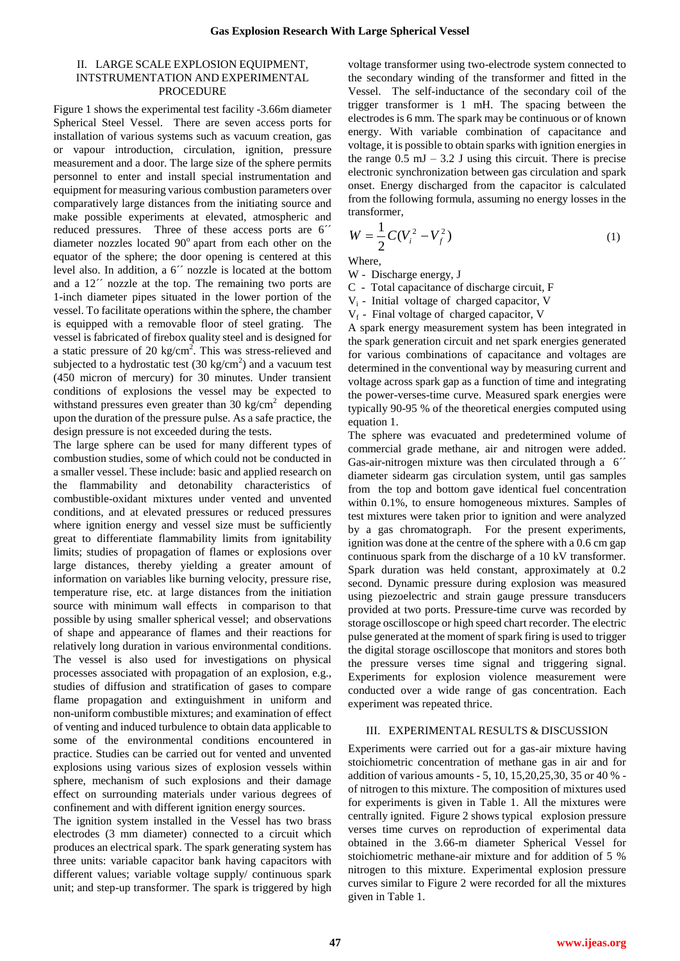## II. LARGE SCALE EXPLOSION EQUIPMENT, INTSTRUMENTATION AND EXPERIMENTAL **PROCEDURE**

Figure 1 shows the experimental test facility -3.66m diameter Spherical Steel Vessel. There are seven access ports for installation of various systems such as vacuum creation, gas or vapour introduction, circulation, ignition, pressure measurement and a door. The large size of the sphere permits personnel to enter and install special instrumentation and equipment for measuring various combustion parameters over comparatively large distances from the initiating source and make possible experiments at elevated, atmospheric and reduced pressures. Three of these access ports are 6´´ diameter nozzles located  $90^\circ$  apart from each other on the equator of the sphere; the door opening is centered at this level also. In addition, a 6´´ nozzle is located at the bottom and a 12<sup> $\degree$ </sup> nozzle at the top. The remaining two ports are 1-inch diameter pipes situated in the lower portion of the vessel. To facilitate operations within the sphere, the chamber is equipped with a removable floor of steel grating. The vessel is fabricated of firebox quality steel and is designed for a static pressure of 20 kg/cm<sup>2</sup>. This was stress-relieved and subjected to a hydrostatic test  $(30 \text{ kg/cm}^2)$  and a vacuum test (450 micron of mercury) for 30 minutes. Under transient conditions of explosions the vessel may be expected to withstand pressures even greater than 30 kg/cm<sup>2</sup> depending upon the duration of the pressure pulse. As a safe practice, the design pressure is not exceeded during the tests.

The large sphere can be used for many different types of combustion studies, some of which could not be conducted in a smaller vessel. These include: basic and applied research on the flammability and detonability characteristics of combustible-oxidant mixtures under vented and unvented conditions, and at elevated pressures or reduced pressures where ignition energy and vessel size must be sufficiently great to differentiate flammability limits from ignitability limits; studies of propagation of flames or explosions over large distances, thereby yielding a greater amount of information on variables like burning velocity, pressure rise, temperature rise, etc. at large distances from the initiation source with minimum wall effects in comparison to that possible by using smaller spherical vessel; and observations of shape and appearance of flames and their reactions for relatively long duration in various environmental conditions. The vessel is also used for investigations on physical processes associated with propagation of an explosion, e.g., studies of diffusion and stratification of gases to compare flame propagation and extinguishment in uniform and non-uniform combustible mixtures; and examination of effect of venting and induced turbulence to obtain data applicable to some of the environmental conditions encountered in practice. Studies can be carried out for vented and unvented explosions using various sizes of explosion vessels within sphere, mechanism of such explosions and their damage effect on surrounding materials under various degrees of confinement and with different ignition energy sources.

The ignition system installed in the Vessel has two brass electrodes (3 mm diameter) connected to a circuit which produces an electrical spark. The spark generating system has three units: variable capacitor bank having capacitors with different values; variable voltage supply/ continuous spark unit; and step-up transformer. The spark is triggered by high

voltage transformer using two-electrode system connected to the secondary winding of the transformer and fitted in the Vessel. The self-inductance of the secondary coil of the trigger transformer is 1 mH. The spacing between the electrodes is 6 mm. The spark may be continuous or of known energy. With variable combination of capacitance and voltage, it is possible to obtain sparks with ignition energies in the range  $0.5 \text{ mJ} - 3.2 \text{ J}$  using this circuit. There is precise electronic synchronization between gas circulation and spark onset. Energy discharged from the capacitor is calculated from the following formula, assuming no energy losses in the transformer,

$$
W = \frac{1}{2}C(V_i^2 - V_f^2)
$$
 (1)

Where,

W - Discharge energy, J

C - Total capacitance of discharge circuit, F

 $V_i$  - Initial voltage of charged capacitor, V

 $V_f$  - Final voltage of charged capacitor, V

A spark energy measurement system has been integrated in the spark generation circuit and net spark energies generated for various combinations of capacitance and voltages are determined in the conventional way by measuring current and voltage across spark gap as a function of time and integrating the power-verses-time curve. Measured spark energies were typically 90-95 % of the theoretical energies computed using equation 1.

The sphere was evacuated and predetermined volume of commercial grade methane, air and nitrogen were added. Gas-air-nitrogen mixture was then circulated through a 6<sup> $\degree$ </sup> diameter sidearm gas circulation system, until gas samples from the top and bottom gave identical fuel concentration within 0.1%, to ensure homogeneous mixtures. Samples of test mixtures were taken prior to ignition and were analyzed by a gas chromatograph. For the present experiments, ignition was done at the centre of the sphere with a 0.6 cm gap continuous spark from the discharge of a 10 kV transformer. Spark duration was held constant, approximately at 0.2 second. Dynamic pressure during explosion was measured using piezoelectric and strain gauge pressure transducers provided at two ports. Pressure-time curve was recorded by storage oscilloscope or high speed chart recorder. The electric pulse generated at the moment of spark firing is used to trigger the digital storage oscilloscope that monitors and stores both the pressure verses time signal and triggering signal. Experiments for explosion violence measurement were conducted over a wide range of gas concentration. Each experiment was repeated thrice.

## III. EXPERIMENTAL RESULTS & DISCUSSION

Experiments were carried out for a gas-air mixture having stoichiometric concentration of methane gas in air and for addition of various amounts - 5, 10, 15,20,25,30, 35 or 40 % of nitrogen to this mixture. The composition of mixtures used for experiments is given in Table 1. All the mixtures were centrally ignited. Figure 2 shows typical explosion pressure verses time curves on reproduction of experimental data obtained in the 3.66-m diameter Spherical Vessel for stoichiometric methane-air mixture and for addition of 5 % nitrogen to this mixture. Experimental explosion pressure curves similar to Figure 2 were recorded for all the mixtures given in Table 1.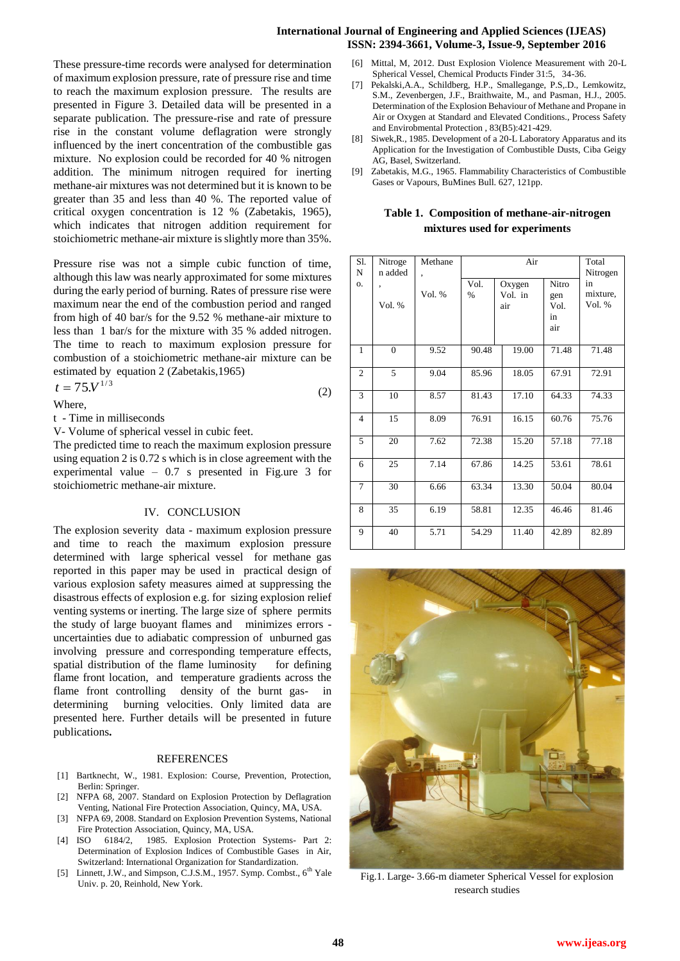#### **International Journal of Engineering and Applied Sciences (IJEAS) ISSN: 2394-3661, Volume-3, Issue-9, September 2016**

These pressure-time records were analysed for determination of maximum explosion pressure, rate of pressure rise and time to reach the maximum explosion pressure. The results are presented in Figure 3. Detailed data will be presented in a separate publication. The pressure-rise and rate of pressure rise in the constant volume deflagration were strongly influenced by the inert concentration of the combustible gas mixture. No explosion could be recorded for 40 % nitrogen addition. The minimum nitrogen required for inerting methane-air mixtures was not determined but it is known to be greater than 35 and less than 40 %. The reported value of critical oxygen concentration is 12 % (Zabetakis, 1965), which indicates that nitrogen addition requirement for stoichiometric methane-air mixture is slightly more than 35%.

Pressure rise was not a simple cubic function of time, although this law was nearly approximated for some mixtures during the early period of burning. Rates of pressure rise were maximum near the end of the combustion period and ranged from high of 40 bar/s for the 9.52 % methane-air mixture to less than 1 bar/s for the mixture with 35 % added nitrogen. The time to reach to maximum explosion pressure for combustion of a stoichiometric methane-air mixture can be estimated by equation 2 (Zabetakis,1965)

$$
t = 75. V^{1/3} \tag{2}
$$

Where,

t - Time in milliseconds

V- Volume of spherical vessel in cubic feet.

The predicted time to reach the maximum explosion pressure using equation 2 is 0.72 s which is in close agreement with the experimental value – 0.7 s presented in Fig.ure 3 for stoichiometric methane-air mixture.

#### IV. CONCLUSION

The explosion severity data - maximum explosion pressure and time to reach the maximum explosion pressure determined with large spherical vessel for methane gas reported in this paper may be used in practical design of various explosion safety measures aimed at suppressing the disastrous effects of explosion e.g. for sizing explosion relief venting systems or inerting. The large size of sphere permits the study of large buoyant flames and minimizes errors uncertainties due to adiabatic compression of unburned gas involving pressure and corresponding temperature effects, spatial distribution of the flame luminosity for defining flame front location, and temperature gradients across the flame front controlling density of the burnt gas- in determining burning velocities. Only limited data are presented here. Further details will be presented in future publications**.** 

#### **REFERENCES**

- [1] Bartknecht, W., 1981. Explosion: Course, Prevention, Protection, Berlin: Springer.
- [2] NFPA 68, 2007. Standard on Explosion Protection by Deflagration Venting, National Fire Protection Association, Quincy, MA, USA.
- [3] NFPA 69, 2008. Standard on Explosion Prevention Systems, National Fire Protection Association, Quincy, MA, USA.
- [4] ISO 6184/2, 1985. Explosion Protection Systems- Part 2: Determination of Explosion Indices of Combustible Gases in Air, Switzerland: International Organization for Standardization.
- [5] Linnett, J.W., and Simpson, C.J.S.M., 1957. Symp. Combst., 6<sup>th</sup> Yale Univ. p. 20, Reinhold, New York.
- Mittal, M, 2012. Dust Explosion Violence Measurement with 20-L Spherical Vessel, Chemical Products Finder 31:5, 34-36.
- [7] Pekalski,A.A., Schildberg, H.P., Smallegange, P.S,.D., Lemkowitz, S.M., Zevenbergen, J.F., Braithwaite, M., and Pasman, H.J., 2005. Determination of the Explosion Behaviour of Methane and Propane in Air or Oxygen at Standard and Elevated Conditions., Process Safety and Envirobmental Protection , 83(B5):421-429.
- [8] Siwek,R., 1985. Development of a 20-L Laboratory Apparatus and its Application for the Investigation of Combustible Dusts, Ciba Geigy AG, Basel, Switzerland.
- [9] Zabetakis, M.G., 1965. Flammability Characteristics of Combustible Gases or Vapours, BuMines Bull. 627, 121pp.

# **Table 1. Composition of methane-air-nitrogen mixtures used for experiments**

| Sl.<br>N       | Nitroge<br>n added | Methane<br>, | Air          |                          |                                   | Total<br>Nitrogen        |
|----------------|--------------------|--------------|--------------|--------------------------|-----------------------------------|--------------------------|
| 0.             | ,<br>Vol. %        | Vol. %       | Vol.<br>$\%$ | Oxygen<br>Vol. in<br>air | Nitro<br>gen<br>Vol.<br>in<br>air | in<br>mixture,<br>Vol. % |
| $\mathbf{1}$   | $\overline{0}$     | 9.52         | 90.48        | 19.00                    | 71.48                             | 71.48                    |
| $\overline{c}$ | 5                  | 9.04         | 85.96        | 18.05                    | 67.91                             | 72.91                    |
| 3              | 10                 | 8.57         | 81.43        | 17.10                    | 64.33                             | 74.33                    |
| $\overline{4}$ | 15                 | 8.09         | 76.91        | 16.15                    | 60.76                             | 75.76                    |
| 5              | 20                 | 7.62         | 72.38        | 15.20                    | 57.18                             | 77.18                    |
| 6              | 25                 | 7.14         | 67.86        | 14.25                    | 53.61                             | 78.61                    |
| $\tau$         | 30                 | 6.66         | 63.34        | 13.30                    | 50.04                             | 80.04                    |
| 8              | 35                 | 6.19         | 58.81        | 12.35                    | 46.46                             | 81.46                    |
| 9              | 40                 | 5.71         | 54.29        | 11.40                    | 42.89                             | 82.89                    |



Fig.1. Large- 3.66-m diameter Spherical Vessel for explosion research studies